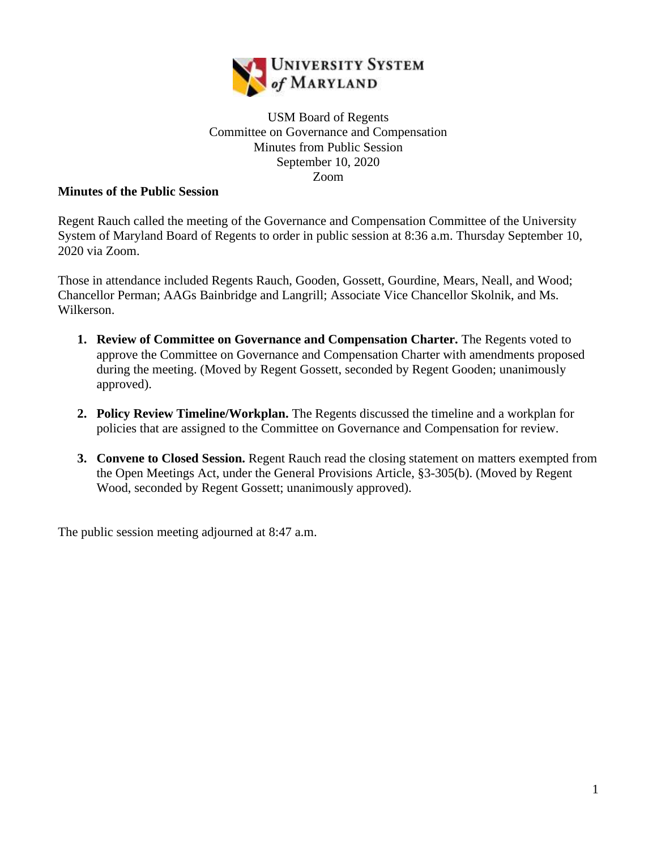

## USM Board of Regents Committee on Governance and Compensation Minutes from Public Session September 10, 2020 Zoom

## **Minutes of the Public Session**

Regent Rauch called the meeting of the Governance and Compensation Committee of the University System of Maryland Board of Regents to order in public session at 8:36 a.m. Thursday September 10, 2020 via Zoom.

Those in attendance included Regents Rauch, Gooden, Gossett, Gourdine, Mears, Neall, and Wood; Chancellor Perman; AAGs Bainbridge and Langrill; Associate Vice Chancellor Skolnik, and Ms. Wilkerson.

- **1. Review of Committee on Governance and Compensation Charter.** The Regents voted to approve the Committee on Governance and Compensation Charter with amendments proposed during the meeting. (Moved by Regent Gossett, seconded by Regent Gooden; unanimously approved).
- **2. Policy Review Timeline/Workplan.** The Regents discussed the timeline and a workplan for policies that are assigned to the Committee on Governance and Compensation for review.
- **3. Convene to Closed Session.** Regent Rauch read the closing statement on matters exempted from the Open Meetings Act, under the General Provisions Article, §3-305(b). (Moved by Regent Wood, seconded by Regent Gossett; unanimously approved).

The public session meeting adjourned at 8:47 a.m.